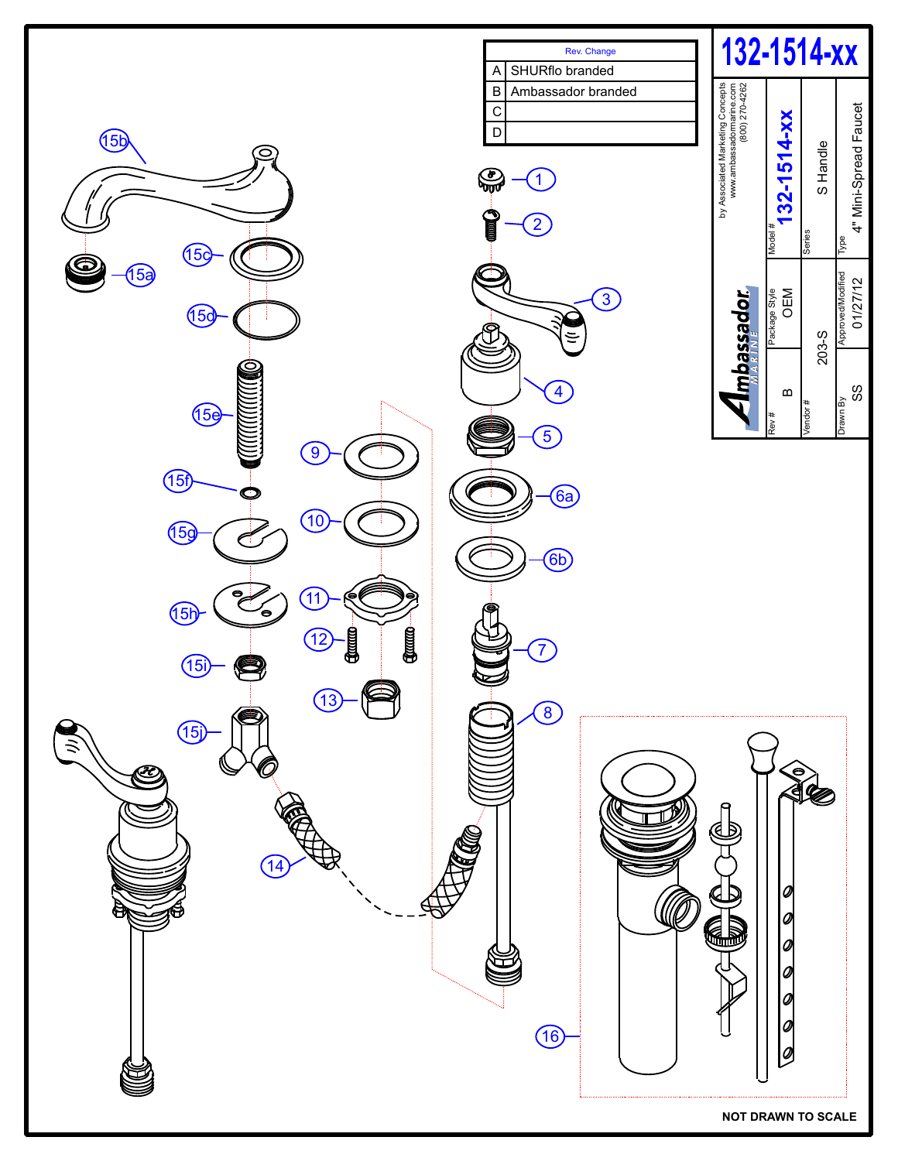